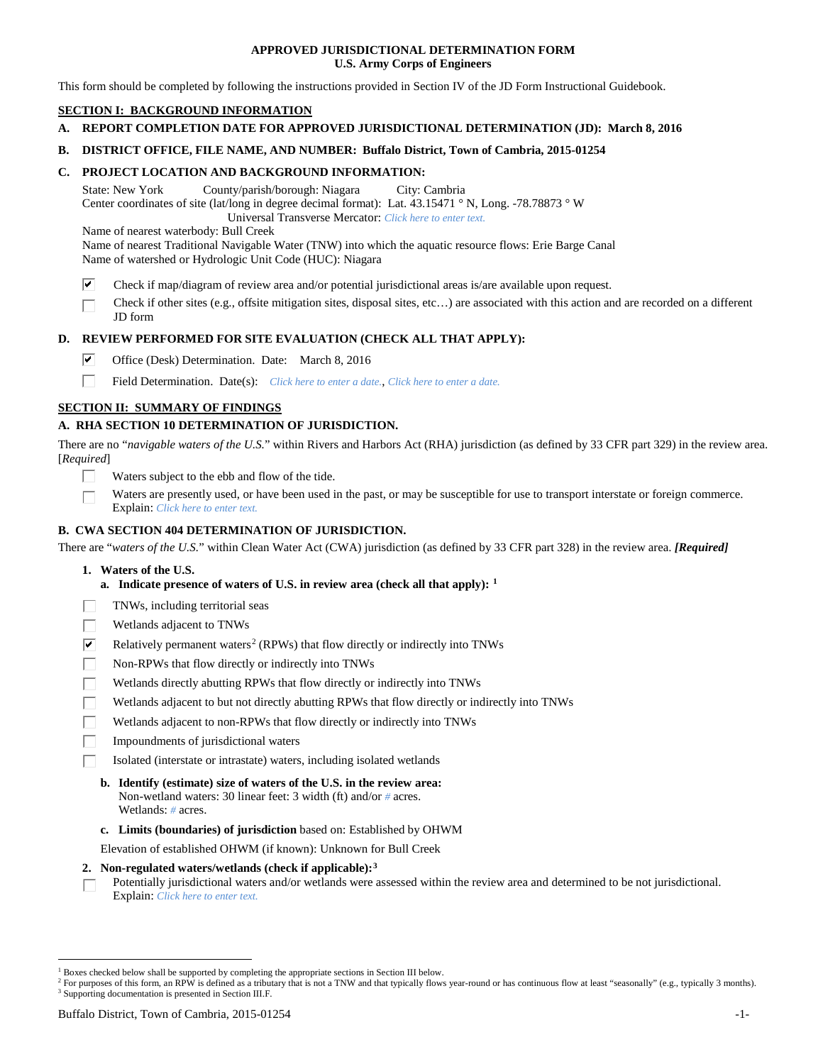## **APPROVED JURISDICTIONAL DETERMINATION FORM U.S. Army Corps of Engineers**

This form should be completed by following the instructions provided in Section IV of the JD Form Instructional Guidebook.

## **SECTION I: BACKGROUND INFORMATION**

- **A. REPORT COMPLETION DATE FOR APPROVED JURISDICTIONAL DETERMINATION (JD): March 8, 2016**
- **B. DISTRICT OFFICE, FILE NAME, AND NUMBER: Buffalo District, Town of Cambria, 2015-01254**

## **C. PROJECT LOCATION AND BACKGROUND INFORMATION:**

State: New York County/parish/borough: Niagara City: Cambria Center coordinates of site (lat/long in degree decimal format): Lat. 43.15471 ° N, Long. -78.78873 ° W Universal Transverse Mercator: *Click here to enter text.*

Name of nearest waterbody: Bull Creek

Name of nearest Traditional Navigable Water (TNW) into which the aquatic resource flows: Erie Barge Canal Name of watershed or Hydrologic Unit Code (HUC): Niagara

- ☑ Check if map/diagram of review area and/or potential jurisdictional areas is/are available upon request.
- Check if other sites (e.g., offsite mitigation sites, disposal sites, etc…) are associated with this action and are recorded on a different JD form

## **D. REVIEW PERFORMED FOR SITE EVALUATION (CHECK ALL THAT APPLY):**

- ⊽ Office (Desk) Determination. Date: March 8, 2016
- п Field Determination. Date(s): *Click here to enter a date.*, *Click here to enter a date.*

## **SECTION II: SUMMARY OF FINDINGS**

## **A. RHA SECTION 10 DETERMINATION OF JURISDICTION.**

There are no "*navigable waters of the U.S.*" within Rivers and Harbors Act (RHA) jurisdiction (as defined by 33 CFR part 329) in the review area. [*Required*]

- Waters subject to the ebb and flow of the tide.
- Waters are presently used, or have been used in the past, or may be susceptible for use to transport interstate or foreign commerce. Explain: *Click here to enter text.*

## **B. CWA SECTION 404 DETERMINATION OF JURISDICTION.**

There are "*waters of the U.S.*" within Clean Water Act (CWA) jurisdiction (as defined by 33 CFR part 328) in the review area. *[Required]*

- **1. Waters of the U.S.**
	- **a. Indicate presence of waters of U.S. in review area (check all that apply): [1](#page-0-0)**
- TNWs, including territorial seas
- Wetlands adjacent to TNWs
- $\overline{\mathbf{v}}$ Relatively permanent waters<sup>[2](#page-0-1)</sup> (RPWs) that flow directly or indirectly into TNWs
- П Non-RPWs that flow directly or indirectly into TNWs
- Wetlands directly abutting RPWs that flow directly or indirectly into TNWs
- Wetlands adjacent to but not directly abutting RPWs that flow directly or indirectly into TNWs
- Wetlands adjacent to non-RPWs that flow directly or indirectly into TNWs
- Impoundments of jurisdictional waters
- Isolated (interstate or intrastate) waters, including isolated wetlands
	- **b. Identify (estimate) size of waters of the U.S. in the review area:** Non-wetland waters: 30 linear feet: 3 width (ft) and/or *#* acres. Wetlands: *#* acres.
	- **c. Limits (boundaries) of jurisdiction** based on: Established by OHWM

Elevation of established OHWM (if known): Unknown for Bull Creek

#### **2. Non-regulated waters/wetlands (check if applicable):[3](#page-0-2)**

Potentially jurisdictional waters and/or wetlands were assessed within the review area and determined to be not jurisdictional. П Explain: *Click here to enter text.*

<span id="page-0-0"></span><sup>&</sup>lt;sup>1</sup> Boxes checked below shall be supported by completing the appropriate sections in Section III below.

<span id="page-0-2"></span><span id="page-0-1"></span><sup>&</sup>lt;sup>2</sup> For purposes of this form, an RPW is defined as a tributary that is not a TNW and that typically flows year-round or has continuous flow at least "seasonally" (e.g., typically 3 months). <sup>3</sup> Supporting documentation is presented in Section III.F.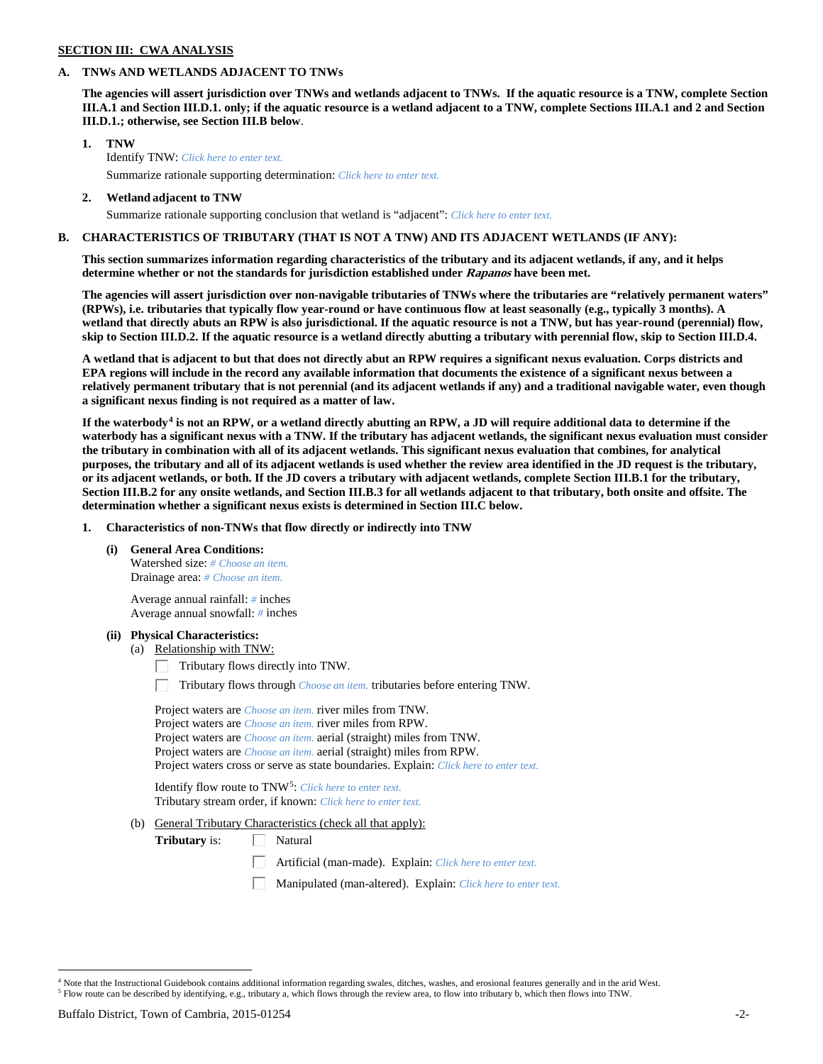## **SECTION III: CWA ANALYSIS**

## **A. TNWs AND WETLANDS ADJACENT TO TNWs**

**The agencies will assert jurisdiction over TNWs and wetlands adjacent to TNWs. If the aquatic resource is a TNW, complete Section III.A.1 and Section III.D.1. only; if the aquatic resource is a wetland adjacent to a TNW, complete Sections III.A.1 and 2 and Section III.D.1.; otherwise, see Section III.B below**.

- **1. TNW**  Identify TNW: *Click here to enter text.*
	- Summarize rationale supporting determination: *Click here to enter text.*
- **2. Wetland adjacent to TNW** Summarize rationale supporting conclusion that wetland is "adjacent": *Click here to enter text.*

## **B. CHARACTERISTICS OF TRIBUTARY (THAT IS NOT A TNW) AND ITS ADJACENT WETLANDS (IF ANY):**

**This section summarizes information regarding characteristics of the tributary and its adjacent wetlands, if any, and it helps determine whether or not the standards for jurisdiction established under Rapanos have been met.** 

**The agencies will assert jurisdiction over non-navigable tributaries of TNWs where the tributaries are "relatively permanent waters" (RPWs), i.e. tributaries that typically flow year-round or have continuous flow at least seasonally (e.g., typically 3 months). A wetland that directly abuts an RPW is also jurisdictional. If the aquatic resource is not a TNW, but has year-round (perennial) flow, skip to Section III.D.2. If the aquatic resource is a wetland directly abutting a tributary with perennial flow, skip to Section III.D.4.**

**A wetland that is adjacent to but that does not directly abut an RPW requires a significant nexus evaluation. Corps districts and EPA regions will include in the record any available information that documents the existence of a significant nexus between a relatively permanent tributary that is not perennial (and its adjacent wetlands if any) and a traditional navigable water, even though a significant nexus finding is not required as a matter of law.**

**If the waterbody[4](#page-1-0) is not an RPW, or a wetland directly abutting an RPW, a JD will require additional data to determine if the waterbody has a significant nexus with a TNW. If the tributary has adjacent wetlands, the significant nexus evaluation must consider the tributary in combination with all of its adjacent wetlands. This significant nexus evaluation that combines, for analytical purposes, the tributary and all of its adjacent wetlands is used whether the review area identified in the JD request is the tributary, or its adjacent wetlands, or both. If the JD covers a tributary with adjacent wetlands, complete Section III.B.1 for the tributary, Section III.B.2 for any onsite wetlands, and Section III.B.3 for all wetlands adjacent to that tributary, both onsite and offsite. The determination whether a significant nexus exists is determined in Section III.C below.**

**1. Characteristics of non-TNWs that flow directly or indirectly into TNW**

**(i) General Area Conditions:**

Watershed size: *# Choose an item.* Drainage area: *# Choose an item.*

Average annual rainfall: *#* inches Average annual snowfall: *#* inches

## **(ii) Physical Characteristics:**

- (a) Relationship with TNW:
	- $\Box$  Tributary flows directly into TNW.

Tributary flows through *Choose an item.* tributaries before entering TNW.

| Project waters are <i>Choose an item</i> , river miles from TNW.                      |  |
|---------------------------------------------------------------------------------------|--|
| Project waters are <i>Choose an item</i> , river miles from RPW.                      |  |
| Project waters are <i>Choose an item.</i> aerial (straight) miles from TNW.           |  |
| Project waters are <i>Choose an item.</i> aerial (straight) miles from RPW.           |  |
| Project waters cross or serve as state boundaries. Explain: Click here to enter text. |  |

Identify flow route to TNW[5:](#page-1-1) *Click here to enter text.* Tributary stream order, if known: *Click here to enter text.*

(b) General Tributary Characteristics (check all that apply):

**Tributary** is:  $\Box$  Natural

- Artificial (man-made). Explain: *Click here to enter text.*
- Manipulated (man-altered). Explain: *Click here to enter text.*

<span id="page-1-1"></span><span id="page-1-0"></span><sup>&</sup>lt;sup>4</sup> Note that the Instructional Guidebook contains additional information regarding swales, ditches, washes, and erosional features generally and in the arid West. <sup>5</sup> Flow route can be described by identifying, e.g., tributary a, which flows through the review area, to flow into tributary b, which then flows into TNW.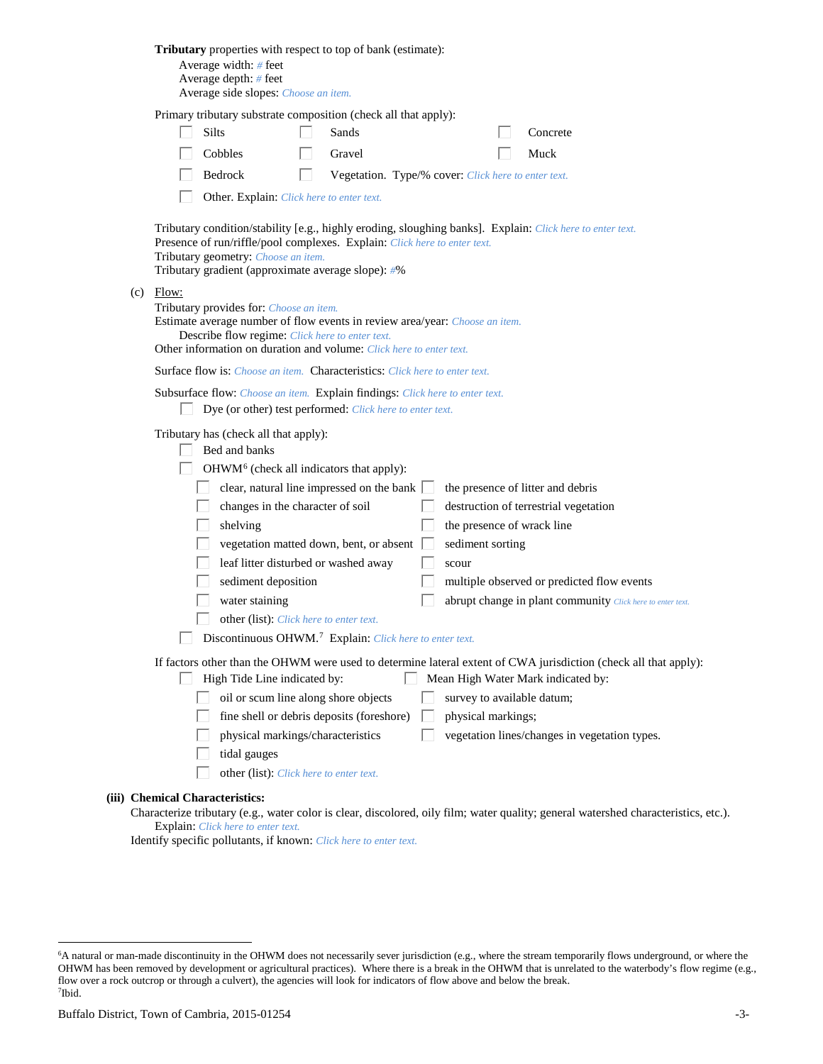| Tributary properties with respect to top of bank (estimate):<br>Average width: # feet<br>Average depth: $#$ feet<br>Average side slopes: Choose an item.                                                                                                                                                                                                                                                                                                                                                                                                                                                                                                                                                                     |
|------------------------------------------------------------------------------------------------------------------------------------------------------------------------------------------------------------------------------------------------------------------------------------------------------------------------------------------------------------------------------------------------------------------------------------------------------------------------------------------------------------------------------------------------------------------------------------------------------------------------------------------------------------------------------------------------------------------------------|
| Primary tributary substrate composition (check all that apply):<br>Silts<br>Sands<br>Concrete<br>Cobbles<br>Gravel<br>Muck<br>Bedrock<br>Vegetation. Type/% cover: Click here to enter text.<br>L.<br>Other. Explain: Click here to enter text.                                                                                                                                                                                                                                                                                                                                                                                                                                                                              |
| Tributary condition/stability [e.g., highly eroding, sloughing banks]. Explain: Click here to enter text.<br>Presence of run/riffle/pool complexes. Explain: Click here to enter text.<br>Tributary geometry: Choose an item.<br>Tributary gradient (approximate average slope): #%                                                                                                                                                                                                                                                                                                                                                                                                                                          |
| $(c)$ Flow:<br>Tributary provides for: Choose an item.<br>Estimate average number of flow events in review area/year: Choose an item.<br>Describe flow regime: Click here to enter text.<br>Other information on duration and volume: Click here to enter text.                                                                                                                                                                                                                                                                                                                                                                                                                                                              |
| <b>Surface flow is:</b> Choose an item. <b>Characteristics:</b> Click here to enter text.                                                                                                                                                                                                                                                                                                                                                                                                                                                                                                                                                                                                                                    |
| Subsurface flow: Choose an item. Explain findings: Click here to enter text.<br>Dye (or other) test performed: Click here to enter text.                                                                                                                                                                                                                                                                                                                                                                                                                                                                                                                                                                                     |
| Tributary has (check all that apply):<br>Bed and banks<br>OHWM <sup>6</sup> (check all indicators that apply):<br>clear, natural line impressed on the bank $\Box$<br>the presence of litter and debris<br>changes in the character of soil<br>destruction of terrestrial vegetation<br>the presence of wrack line<br>shelving<br>vegetation matted down, bent, or absent<br>sediment sorting<br>leaf litter disturbed or washed away<br>scour<br>sediment deposition<br>multiple observed or predicted flow events<br>water staining<br>abrupt change in plant community Click here to enter text.<br>other (list): Click here to enter text.<br>$\Box$ Discontinuous OHWM. <sup>7</sup> Explain: Click here to enter text. |
| If factors other than the OHWM were used to determine lateral extent of CWA jurisdiction (check all that apply):<br>High Tide Line indicated by:<br>Mean High Water Mark indicated by:<br>L<br>oil or scum line along shore objects<br>survey to available datum;<br>fine shell or debris deposits (foreshore)<br>physical markings;<br>physical markings/characteristics<br>vegetation lines/changes in vegetation types.<br>tidal gauges<br>other (list): Click here to enter text.                                                                                                                                                                                                                                        |
| (iii) Chemical Characteristics:                                                                                                                                                                                                                                                                                                                                                                                                                                                                                                                                                                                                                                                                                              |

Characterize tributary (e.g., water color is clear, discolored, oily film; water quality; general watershed characteristics, etc.). Explain: *Click here to enter text.*

Identify specific pollutants, if known: *Click here to enter text.*

<span id="page-2-1"></span><span id="page-2-0"></span> <sup>6</sup> <sup>6</sup>A natural or man-made discontinuity in the OHWM does not necessarily sever jurisdiction (e.g., where the stream temporarily flows underground, or where the OHWM has been removed by development or agricultural practices). Where there is a break in the OHWM that is unrelated to the waterbody's flow regime (e.g., flow over a rock outcrop or through a culvert), the agencies will look for indicators of flow above and below the break. 7 Ibid.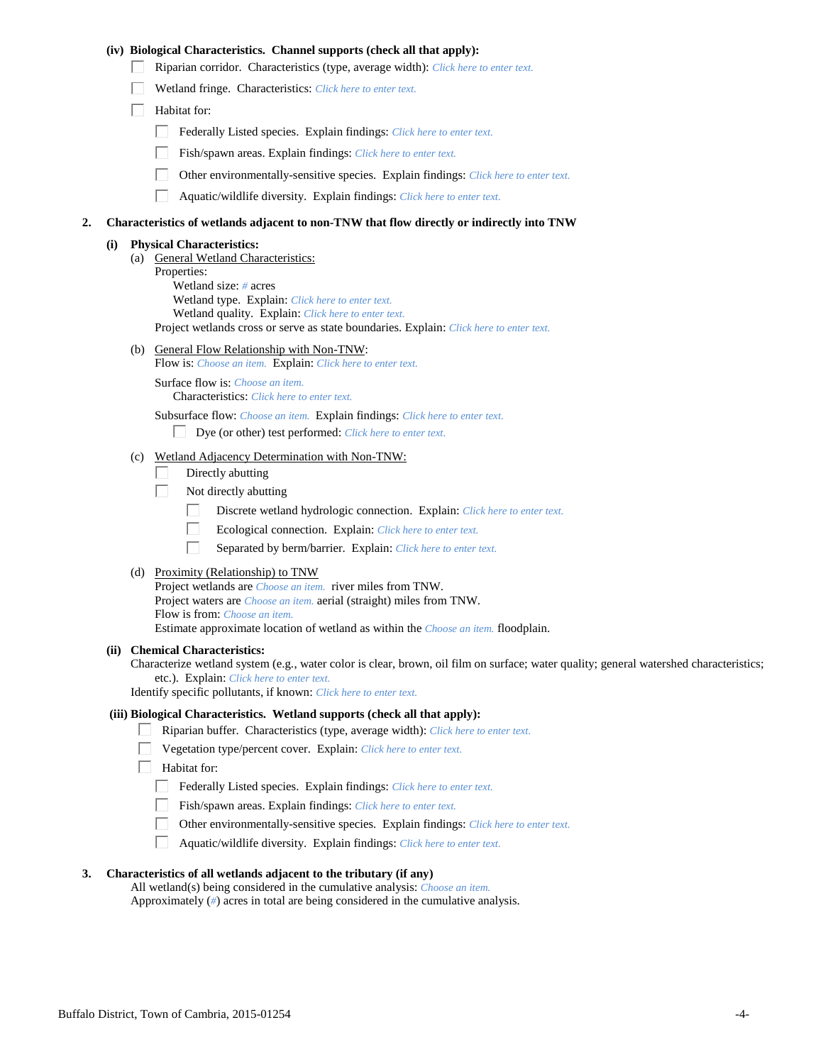## **(iv) Biological Characteristics. Channel supports (check all that apply):**

- Riparian corridor. Characteristics (type, average width): *Click here to enter text.*
- Wetland fringe. Characteristics: *Click here to enter text.*
- $\Box$  Habitat for:
	- Federally Listed species. Explain findings: *Click here to enter text.*
	- Fish/spawn areas. Explain findings: *Click here to enter text.*
	- Other environmentally-sensitive species. Explain findings: *Click here to enter text.*
	- $\Box$ Aquatic/wildlife diversity. Explain findings: *Click here to enter text.*

#### **2. Characteristics of wetlands adjacent to non-TNW that flow directly or indirectly into TNW**

#### **(i) Physical Characteristics:**

(a) General Wetland Characteristics: Properties: Wetland size: *#* acres Wetland type. Explain: *Click here to enter text.* Wetland quality. Explain: *Click here to enter text.* Project wetlands cross or serve as state boundaries. Explain: *Click here to enter text.*

(b) General Flow Relationship with Non-TNW:

Flow is: *Choose an item.* Explain: *Click here to enter text.*

Surface flow is: *Choose an item.* Characteristics: *Click here to enter text.*

Subsurface flow: *Choose an item.* Explain findings: *Click here to enter text.*

- Dye (or other) test performed: *Click here to enter text.*
- (c) Wetland Adjacency Determination with Non-TNW:
	- Directly abutting П.
	- П. Not directly abutting
		- П. Discrete wetland hydrologic connection. Explain: *Click here to enter text.*
		- П. Ecological connection. Explain: *Click here to enter text.*
		- П. Separated by berm/barrier. Explain: *Click here to enter text.*
- (d) Proximity (Relationship) to TNW

Project wetlands are *Choose an item.* river miles from TNW. Project waters are *Choose an item.* aerial (straight) miles from TNW. Flow is from: *Choose an item.* Estimate approximate location of wetland as within the *Choose an item.* floodplain.

#### **(ii) Chemical Characteristics:**

Characterize wetland system (e.g., water color is clear, brown, oil film on surface; water quality; general watershed characteristics; etc.). Explain: *Click here to enter text.*

Identify specific pollutants, if known: *Click here to enter text.*

#### **(iii) Biological Characteristics. Wetland supports (check all that apply):**

- Riparian buffer. Characteristics (type, average width): *Click here to enter text.*
	- Vegetation type/percent cover. Explain: *Click here to enter text.*
	- Habitat for:
		- Federally Listed species. Explain findings: *Click here to enter text*.
		- Fish/spawn areas. Explain findings: *Click here to enter text.*
		- Other environmentally-sensitive species. Explain findings: *Click here to enter text.*  $\Box$
		- $\Box$ Aquatic/wildlife diversity. Explain findings: *Click here to enter text.*

## **3. Characteristics of all wetlands adjacent to the tributary (if any)**

All wetland(s) being considered in the cumulative analysis: *Choose an item.* Approximately (*#*) acres in total are being considered in the cumulative analysis.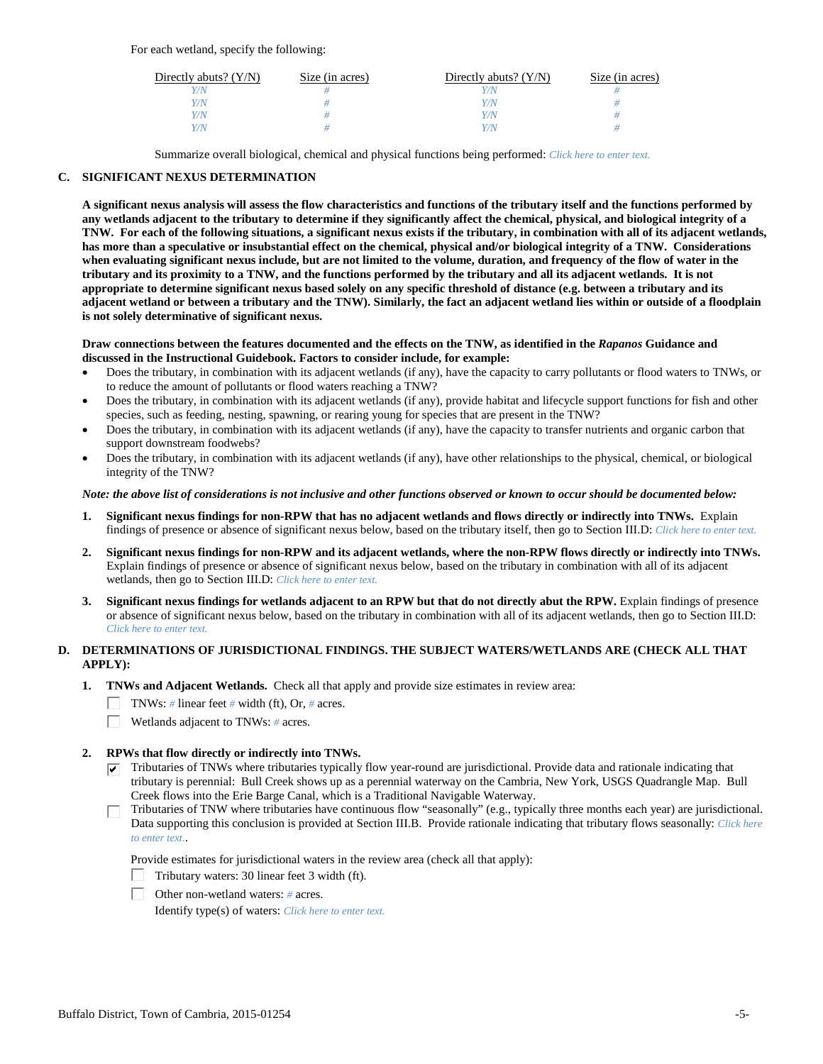For each wetland, specify the following:

| Directly abuts? $(Y/N)$ | Size (in acres) | Directly abuts? $(Y/N)$ | Size (in acres) |
|-------------------------|-----------------|-------------------------|-----------------|
| Y/N                     |                 |                         |                 |
| Y/N                     |                 | Y/N                     |                 |
| Y/N                     |                 | Y/N                     |                 |
| Y/N                     |                 | Y/N                     |                 |

Summarize overall biological, chemical and physical functions being performed: *Click here to enter text.*

## **C. SIGNIFICANT NEXUS DETERMINATION**

**A significant nexus analysis will assess the flow characteristics and functions of the tributary itself and the functions performed by any wetlands adjacent to the tributary to determine if they significantly affect the chemical, physical, and biological integrity of a TNW. For each of the following situations, a significant nexus exists if the tributary, in combination with all of its adjacent wetlands, has more than a speculative or insubstantial effect on the chemical, physical and/or biological integrity of a TNW. Considerations when evaluating significant nexus include, but are not limited to the volume, duration, and frequency of the flow of water in the tributary and its proximity to a TNW, and the functions performed by the tributary and all its adjacent wetlands. It is not appropriate to determine significant nexus based solely on any specific threshold of distance (e.g. between a tributary and its adjacent wetland or between a tributary and the TNW). Similarly, the fact an adjacent wetland lies within or outside of a floodplain is not solely determinative of significant nexus.** 

#### **Draw connections between the features documented and the effects on the TNW, as identified in the** *Rapanos* **Guidance and discussed in the Instructional Guidebook. Factors to consider include, for example:**

- Does the tributary, in combination with its adjacent wetlands (if any), have the capacity to carry pollutants or flood waters to TNWs, or to reduce the amount of pollutants or flood waters reaching a TNW?
- Does the tributary, in combination with its adjacent wetlands (if any), provide habitat and lifecycle support functions for fish and other species, such as feeding, nesting, spawning, or rearing young for species that are present in the TNW?
- Does the tributary, in combination with its adjacent wetlands (if any), have the capacity to transfer nutrients and organic carbon that support downstream foodwebs?
- Does the tributary, in combination with its adjacent wetlands (if any), have other relationships to the physical, chemical, or biological integrity of the TNW?

#### *Note: the above list of considerations is not inclusive and other functions observed or known to occur should be documented below:*

- **1. Significant nexus findings for non-RPW that has no adjacent wetlands and flows directly or indirectly into TNWs.** Explain findings of presence or absence of significant nexus below, based on the tributary itself, then go to Section III.D: *Click here to enter text.*
- **2. Significant nexus findings for non-RPW and its adjacent wetlands, where the non-RPW flows directly or indirectly into TNWs.**  Explain findings of presence or absence of significant nexus below, based on the tributary in combination with all of its adjacent wetlands, then go to Section III.D: *Click here to enter text.*
- **3. Significant nexus findings for wetlands adjacent to an RPW but that do not directly abut the RPW.** Explain findings of presence or absence of significant nexus below, based on the tributary in combination with all of its adjacent wetlands, then go to Section III.D: *Click here to enter text.*

## **D. DETERMINATIONS OF JURISDICTIONAL FINDINGS. THE SUBJECT WATERS/WETLANDS ARE (CHECK ALL THAT APPLY):**

- **1. TNWs and Adjacent Wetlands.** Check all that apply and provide size estimates in review area:
	- TNWs: *#* linear feet *#* width (ft), Or, *#* acres.
	- $\Box$ Wetlands adjacent to TNWs: *#* acres.

#### **2. RPWs that flow directly or indirectly into TNWs.**

- $\triangledown$  Tributaries of TNWs where tributaries typically flow year-round are jurisdictional. Provide data and rationale indicating that tributary is perennial: Bull Creek shows up as a perennial waterway on the Cambria, New York, USGS Quadrangle Map. Bull Creek flows into the Erie Barge Canal, which is a Traditional Navigable Waterway.
- Tributaries of TNW where tributaries have continuous flow "seasonally" (e.g., typically three months each year) are jurisdictional. П. Data supporting this conclusion is provided at Section III.B. Provide rationale indicating that tributary flows seasonally: *Click here to enter text.*.

Provide estimates for jurisdictional waters in the review area (check all that apply):

- Tributary waters: 30 linear feet 3 width (ft).
- Other non-wetland waters: *#* acres.

Identify type(s) of waters: *Click here to enter text.*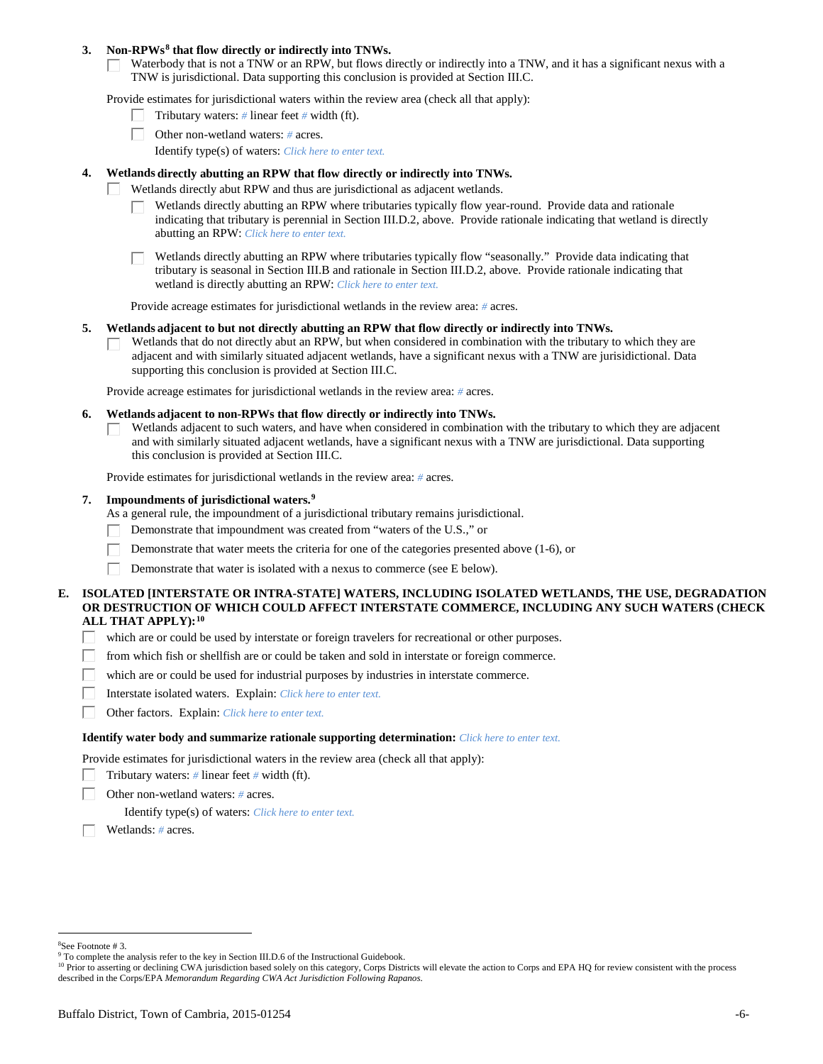## **3. Non-RPWs[8](#page-5-0) that flow directly or indirectly into TNWs.**

Waterbody that is not a TNW or an RPW, but flows directly or indirectly into a TNW, and it has a significant nexus with a TNW is jurisdictional. Data supporting this conclusion is provided at Section III.C.

Provide estimates for jurisdictional waters within the review area (check all that apply):

- Tributary waters: *#* linear feet *#* width (ft).  $\mathbf{L}$
- Other non-wetland waters: *#* acres.
	- Identify type(s) of waters: *Click here to enter text.*

## **4. Wetlands directly abutting an RPW that flow directly or indirectly into TNWs.**

- ГT. Wetlands directly abut RPW and thus are jurisdictional as adjacent wetlands.
	- Wetlands directly abutting an RPW where tributaries typically flow year-round. Provide data and rationale indicating that tributary is perennial in Section III.D.2, above. Provide rationale indicating that wetland is directly abutting an RPW: *Click here to enter text.*

Wetlands directly abutting an RPW where tributaries typically flow "seasonally." Provide data indicating that tributary is seasonal in Section III.B and rationale in Section III.D.2, above. Provide rationale indicating that wetland is directly abutting an RPW: *Click here to enter text.*

Provide acreage estimates for jurisdictional wetlands in the review area: *#* acres.

#### **5. Wetlands adjacent to but not directly abutting an RPW that flow directly or indirectly into TNWs.**

Wetlands that do not directly abut an RPW, but when considered in combination with the tributary to which they are П adjacent and with similarly situated adjacent wetlands, have a significant nexus with a TNW are jurisidictional. Data supporting this conclusion is provided at Section III.C.

Provide acreage estimates for jurisdictional wetlands in the review area: *#* acres.

#### **6. Wetlands adjacent to non-RPWs that flow directly or indirectly into TNWs.**

Wetlands adjacent to such waters, and have when considered in combination with the tributary to which they are adjacent П and with similarly situated adjacent wetlands, have a significant nexus with a TNW are jurisdictional. Data supporting this conclusion is provided at Section III.C.

Provide estimates for jurisdictional wetlands in the review area: *#* acres.

## **7. Impoundments of jurisdictional waters. [9](#page-5-1)**

As a general rule, the impoundment of a jurisdictional tributary remains jurisdictional.

- Demonstrate that impoundment was created from "waters of the U.S.," or
- Demonstrate that water meets the criteria for one of the categories presented above (1-6), or
- Demonstrate that water is isolated with a nexus to commerce (see E below). Г

## **E. ISOLATED [INTERSTATE OR INTRA-STATE] WATERS, INCLUDING ISOLATED WETLANDS, THE USE, DEGRADATION OR DESTRUCTION OF WHICH COULD AFFECT INTERSTATE COMMERCE, INCLUDING ANY SUCH WATERS (CHECK ALL THAT APPLY):[10](#page-5-2)**

- L. which are or could be used by interstate or foreign travelers for recreational or other purposes.
- from which fish or shellfish are or could be taken and sold in interstate or foreign commerce.
- which are or could be used for industrial purposes by industries in interstate commerce. П.
- Г Interstate isolated waters.Explain: *Click here to enter text.*
- п Other factors.Explain: *Click here to enter text.*

#### **Identify water body and summarize rationale supporting determination:** *Click here to enter text.*

Provide estimates for jurisdictional waters in the review area (check all that apply):

- Tributary waters: *#* linear feet *#* width (ft).
- Other non-wetland waters: *#* acres.

Identify type(s) of waters: *Click here to enter text.*

Wetlands: *#* acres.

<span id="page-5-0"></span> $\frac{1}{8}$ See Footnote # 3.

<sup>&</sup>lt;sup>9</sup> To complete the analysis refer to the key in Section III.D.6 of the Instructional Guidebook.

<span id="page-5-2"></span><span id="page-5-1"></span><sup>&</sup>lt;sup>10</sup> Prior to asserting or declining CWA jurisdiction based solely on this category, Corps Districts will elevate the action to Corps and EPA HQ for review consistent with the process described in the Corps/EPA *Memorandum Regarding CWA Act Jurisdiction Following Rapanos.*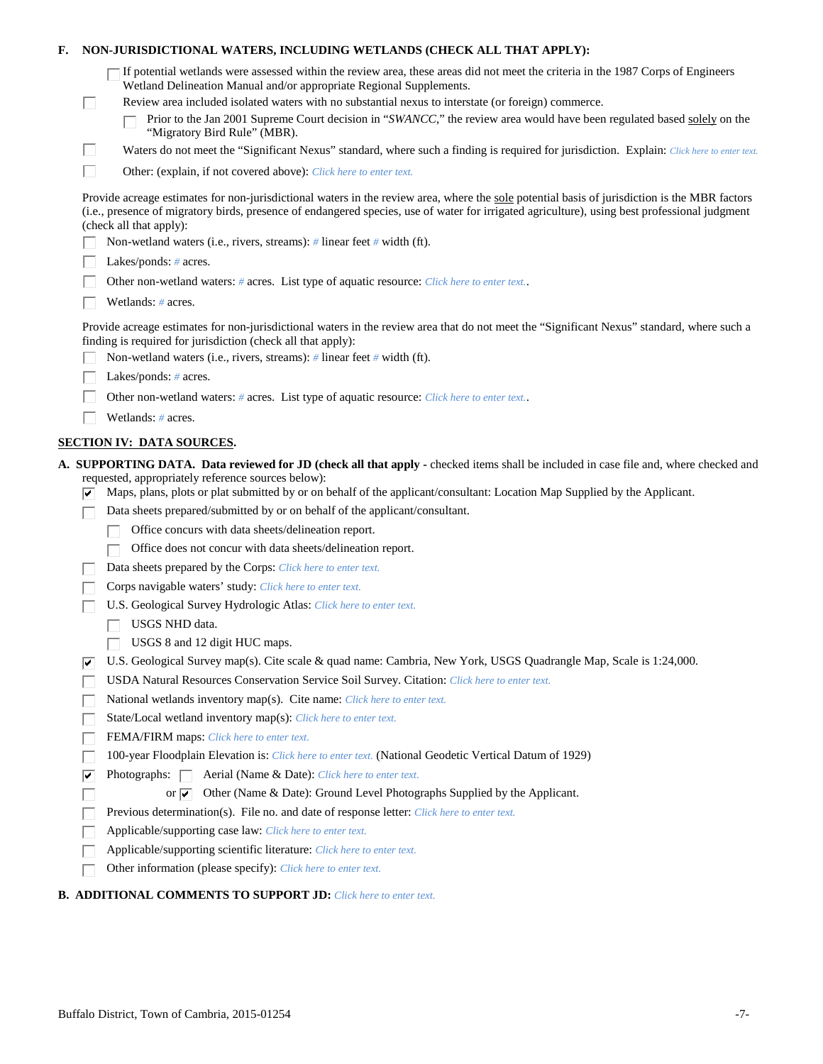| Е. |   | NON-JURISDICTIONAL WATERS, INCLUDING WETLANDS (CHECK ALL THAT APPLY):                                                                                                                                                                                                                                                     |
|----|---|---------------------------------------------------------------------------------------------------------------------------------------------------------------------------------------------------------------------------------------------------------------------------------------------------------------------------|
|    |   | If potential wetlands were assessed within the review area, these areas did not meet the criteria in the 1987 Corps of Engineers<br>Wetland Delineation Manual and/or appropriate Regional Supplements.                                                                                                                   |
|    | L | Review area included isolated waters with no substantial nexus to interstate (or foreign) commerce.                                                                                                                                                                                                                       |
|    |   | Prior to the Jan 2001 Supreme Court decision in "SWANCC," the review area would have been regulated based solely on the<br>"Migratory Bird Rule" (MBR).                                                                                                                                                                   |
|    | Ш | Waters do not meet the "Significant Nexus" standard, where such a finding is required for jurisdiction. Explain: Click here to enter text.                                                                                                                                                                                |
|    | П | Other: (explain, if not covered above): Click here to enter text.                                                                                                                                                                                                                                                         |
|    |   | Provide acreage estimates for non-jurisdictional waters in the review area, where the sole potential basis of jurisdiction is the MBR factors<br>(i.e., presence of migratory birds, presence of endangered species, use of water for irrigated agriculture), using best professional judgment<br>(check all that apply): |
|    |   | Non-wetland waters (i.e., rivers, streams): # linear feet # width (ft).                                                                                                                                                                                                                                                   |
|    |   | Lakes/ponds: $# \, \text{acres.}$                                                                                                                                                                                                                                                                                         |
|    |   | Other non-wetland waters: # acres. List type of aquatic resource: Click here to enter text                                                                                                                                                                                                                                |
|    |   | Wetlands: # acres.                                                                                                                                                                                                                                                                                                        |
|    |   | Provide acreage estimates for non-jurisdictional waters in the review area that do not meet the "Significant Nexus" standard, where such a<br>finding is required for jurisdiction (check all that apply):                                                                                                                |
|    |   | Non-wetland waters (i.e., rivers, streams): $\#$ linear feet $\#$ width (ft).                                                                                                                                                                                                                                             |
|    |   | Lakes/ponds: $# \, \text{acres.}$                                                                                                                                                                                                                                                                                         |
|    |   | Other non-wetland waters: # acres. List type of aquatic resource: Click here to enter text                                                                                                                                                                                                                                |
|    |   | Wetlands: # acres.                                                                                                                                                                                                                                                                                                        |
|    |   | <b>SECTION IV: DATA SOURCES.</b>                                                                                                                                                                                                                                                                                          |
|    |   | A. SUPPORTING DATA. Data reviewed for JD (check all that apply - checked items shall be included in case file and, where checked and                                                                                                                                                                                      |
|    |   | requested, appropriately reference sources below):<br>Maps, plans, plots or plat submitted by or on behalf of the applicant/consultant: Location Map Supplied by the Applicant.                                                                                                                                           |
|    |   | Data sheets prepared/submitted by or on behalf of the applicant/consultant.                                                                                                                                                                                                                                               |
|    |   | Office concurs with data sheets/delineation report.                                                                                                                                                                                                                                                                       |
|    |   | Office does not concur with data sheets/delineation report.                                                                                                                                                                                                                                                               |
|    |   | Data sheets prepared by the Corps: Click here to enter text.                                                                                                                                                                                                                                                              |
|    |   | Corps navigable waters' study: Click here to enter text.                                                                                                                                                                                                                                                                  |
|    |   | U.S. Geological Survey Hydrologic Atlas: Click here to enter text.                                                                                                                                                                                                                                                        |
|    |   | USGS NHD data.                                                                                                                                                                                                                                                                                                            |
|    |   | USGS 8 and 12 digit HUC maps.                                                                                                                                                                                                                                                                                             |
|    | ⊮ | U.S. Geological Survey map(s). Cite scale & quad name: Cambria, New York, USGS Quadrangle Map, Scale is 1:24,000.                                                                                                                                                                                                         |
|    |   | USDA Natural Resources Conservation Service Soil Survey. Citation: Click here to enter text.                                                                                                                                                                                                                              |
|    |   | National wetlands inventory map(s). Cite name: Click here to enter text.                                                                                                                                                                                                                                                  |
|    |   | State/Local wetland inventory map(s): Click here to enter text.                                                                                                                                                                                                                                                           |
|    |   | FEMA/FIRM maps: Click here to enter text.                                                                                                                                                                                                                                                                                 |
|    |   | 100-year Floodplain Elevation is: Click here to enter text. (National Geodetic Vertical Datum of 1929)                                                                                                                                                                                                                    |
|    | ⊽ | Photographs: $\Box$<br>Aerial (Name & Date): Click here to enter text.                                                                                                                                                                                                                                                    |
|    |   | Other (Name & Date): Ground Level Photographs Supplied by the Applicant.<br>or $\overline{\mathbf{v}}$                                                                                                                                                                                                                    |
|    |   | Previous determination(s). File no. and date of response letter: Click here to enter text.                                                                                                                                                                                                                                |
|    |   | Applicable/supporting case law: Click here to enter text.                                                                                                                                                                                                                                                                 |
|    |   | Applicable/supporting scientific literature: Click here to enter text.                                                                                                                                                                                                                                                    |
|    |   | Other information (please specify): Click here to enter text.                                                                                                                                                                                                                                                             |
|    |   |                                                                                                                                                                                                                                                                                                                           |

# **B. ADDITIONAL COMMENTS TO SUPPORT JD:** *Click here to enter text.*